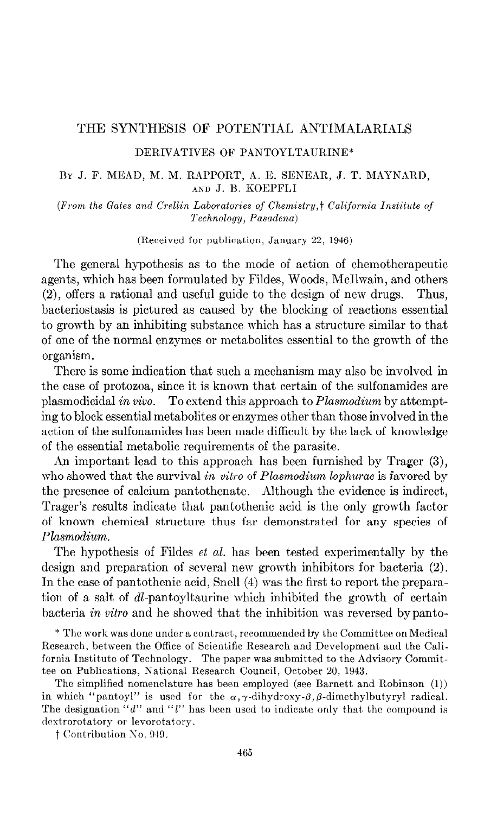#### THE SYNTHESIS OF POTENTIAL ANTIMALARIALS

### DERIVATIVES OF PANTOYLTAURINE\*

### BY J. F. MEAD, M. M. RAPPORT, A. E. SENEAR, J. T. MAYNARD, AND J. B. KOEPFLI

(From the Gates and Crellin Laboratories of Chemistry, † California Institute of Technology, Pasadena)

(Received for publication, January 22, 1946)

The general hypothesis as to the mode of action of chemotherapeutic agents, which has been formulated by Fildes, Woods, McIlwain, and others (2), offers a rational and useful guide to the design of new drugs. Thus, bacteriostasis is pictured as caused by the blocking of reactions essential to growth by an inhibiting substance which has a structure similar to that of one of the normal enzymes or metabolites essential to the growth of the organism.

There is some indication that such a mechanism may also be involved in the case of protozoa, since it is known that certain of the sulfonamides are plasmodicidal in viva. To extend this approach to Plasmodium by attempting to block essential metabolites or enzymes other than those involved in the action of the sulfonamides has been made difficult by the lack of knowledge of the essential metabolic requirements of the parasite.

An important lead to this approach has been furnished by Trager (3), who showed that the survival in vitro of Plasmodium lophurae is favored by the presence of calcium pantothenate. Although the evidence is indirect, Trager's results indicate that pantothenic acid is the only growth factor of known chemical structure thus far demonstrated for any species of Plasmodium.

The hypothesis of Fildes et al. has been tested experimentally by the design and preparation of several new growth inhibitors for bacteria (2). In the case of pantothenic acid, Snell (4) was the first to report the preparation of a salt of dl-pantoyltaurine which inhibited the growth of certain bacteria in vitro and he showed that the inhibition was reversed by panto-

\* The work was done under a contract, recommended by the Committee on Medical Research, between the Office of Scientific Research and Development and the California Institute of Technology. The paper was submitted to the Advisory Committee on Publications, National Research Council, October 20, 1943.

The simplified nomenclature has been employed (see Barnett and Robinson (1)) in which "pantoyl" is used for the  $\alpha$ ,  $\gamma$ -dihydroxy- $\beta$ ,  $\beta$ -dimethylbutyryl radical. The designation "d" and "l" has been used to indicate only that the compound is dextrorotatory or levorotatory.

 $\dagger$  Contribution No. 949.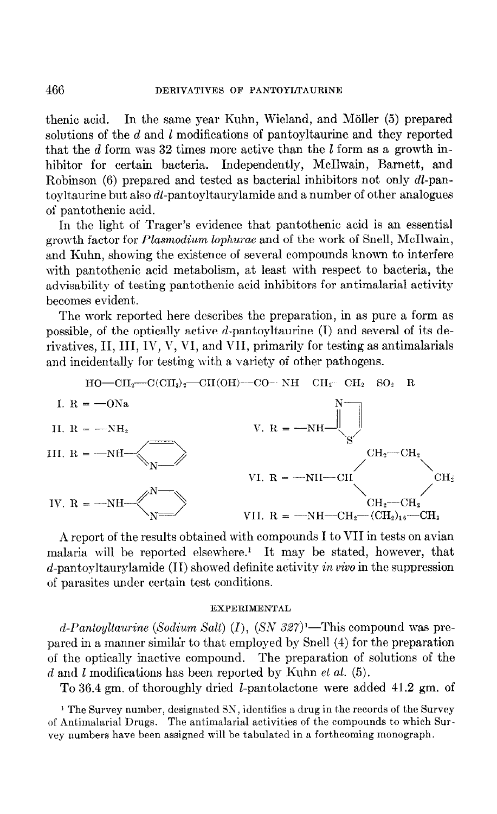thenic acid. In the same year Kuhn, Wieland, and Möller (5) prepared solutions of the d and l modifications of pantoyltaurine and they reported that the  $d$  form was 32 times more active than the  $l$  form as a growth inhibitor for certain bacteria. Independently, McIlwain, Barnett, and Robinson (6) prepared and tested as bacterial inhibitors not only dl-pantoyltaurine but also dl-pantoyltaurylamide and a number of other analogues of pantothenic acid.

In the light of Trager's evidence that pantothenic acid is an essential growth factor for Plasmodium lophurae and of the work of Snell, McIlwain, and Kuhn, showing the existence of several compounds known to interfere with pantothenic acid metabolism, at least with respect to bacteria, the advisability of testing pantothenic acid inhibitors for antimalarial activity becomes evident.

The work reported here describes the preparation, in as pure a form as possible, of the optically active d-pantoyltaurine (I) and several of its derivatives,  $II$ ,  $III$ ,  $IV$ ,  $V$ ,  $VI$ , and  $VII$ , primarily for testing as antimalarials and incidentally for testing with a variety of other pathogens.



h report of the results obtained with compounds I to VII in tests on avian malaria will be reported elsewhere.' It may be stated, however, that  $d$ -pantoyltaurylamide (II) showed definite activity in vivo in the suppression of parasites under certain test conditions.

### **EXPERIMENTAL**

d-Pantoyltaurine (Sodium Salt) (I),  $(SN 327)$ <sup>1</sup>—This compound was prepared in a manner similar to that employed by Snell (4) for the preparation of the optically inactive compound. The preparation of solutions of the  $d$  and  $l$  modifications has been reported by Kuhn et al. (5).

To 36.4 gm. of thoroughly dried I-pantolactone were added 41.2 gm. of

<sup>1</sup> The Survey number, designated SN, identifies a drug in the records of the Survey of Antimalarial Drugs. The antimalarial activities of the compounds to which Survey numbers have been assigned will be tabulated in a forthcoming monograph.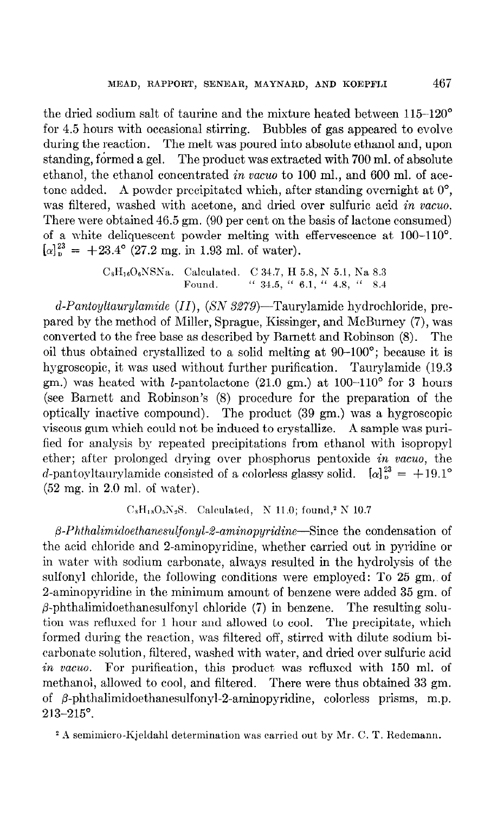the dried sodium salt of taurine and the mixture heated between 115--120" for 4.5 hours with occasional stirring. Bubbles of gas appeared to evolve during the reaction. The melt was poured into absolute ethanol and, upon standing, formed a gel. The product was extracted with 700 ml. of absolute ethanol, the ethanol concentrated in vacuo to 100 ml., and 600 ml. of acetone added. A powder precipitated which, after standing overnight at  $0^{\circ}$ , was filtered, washed with acetone, and dried over sulfuric acid in vacuo. There were obtained 46.5 gm. (90 per cent on the basis of lactone consumed) of a white deliquescent powder melting with effervescence at 100-110°.  $[\alpha]_p^{23} = +23.4^{\circ}$  (27.2 mg. in 1.93 ml. of water).

> $C_8H_{16}O_6NSNa.$  Calculated. C 34.7, H 5.8, N 5.1, Na 8.3 Found. " 34.5, " 6.1, " 4.8, " 8.4

 $d$ -Pantoyltaurylamide (II), (SN 3279)—Taurylamide hydrochloride, prepared by the method of Miller, Sprague, Kissinger, and McBurney (7), was converted to the free base as described by Barnett and Robinson (8). The oil thus obtained crystallized to a solid melting at 90-100'; because it is hygroscopic, it was used without further purification. Taurylamide (19.3) gm.) was heated with *l*-pantolactone  $(21.0 \text{ gm.})$  at  $100-110^{\circ}$  for 3 hours (see Barnett and Robinson's (8) procedure for the preparation of the optically inactive compound). The product (39 gm.) was a hygroscopic viscous gum which could not be induced. to crystallize. A sample was purified for analysis by repeated precipitations from ethanol with isopropyl ether; after prolonged drying over phosphorus pentoxide in vacua, the d-pantoyltaurylamide consisted of a colorless glassy solid.  $[\alpha]_p^{23} = +19.1^\circ$  $(52 \text{ mg. in } 2.0 \text{ ml. of water}).$ 

## $C_8H_{18}O_5N_2S$ . Calculated, N 11.0; found,<sup>2</sup> N 10.7

 $\beta$ -Phthalimidoethanesulfonyl-2-aminopyridine-Since the condensation of the acid chloride and 2-aminopyridine, whether carried out in pyridine or in water with sodium carbonate, always resulted in the hydrolysis of the sulfonyl chloride, the following conditions mere employed: To 25 gm, of 2-aminopyridine in the minimum amount of benzene were added 35 gm. of  $\beta$ -phthalimidoethanesulfonyl chloride (7) in benzene. The resulting solution was refluxed for 1 hour and allowed to cool. The precipitate, which formed during the reaction, was filtered off, stirred with dilute sodium bicarbonak solution, filtered, washed with water, and dried over sulfuric acid in vacuo. For purification, this product was refluxed with 150 ml. of methanol, allowed to cool, and filtered. There were thus obtained 33 gm. of  $\beta$ -phthalimidoethanesulfonyl-2-aminopyridine, colorless prisms, m.p. 213-215".

<sup>2</sup> A semimicro-Kjeldahl determination was carried out by Mr. C. T. Redemann.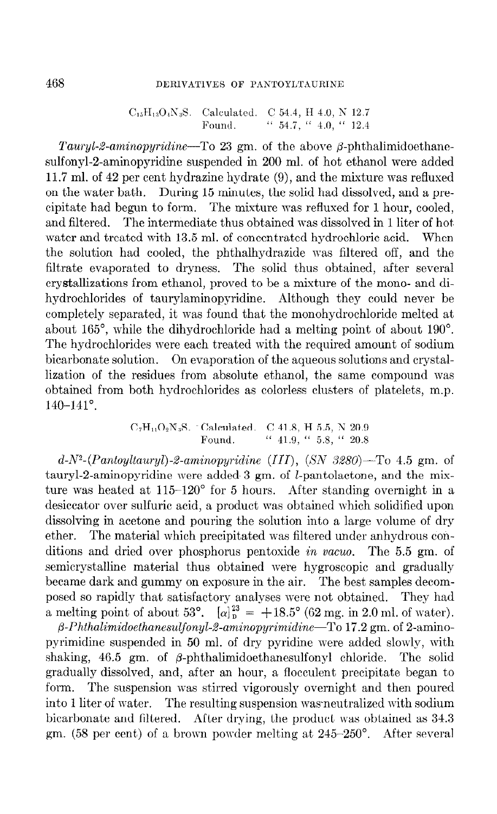### 468 DERIVATIVES OF PANTOYLTAURINE

 $C_{15}H_{13}O_4N_3S.$  Calculated. C 54.4, H 4.0, N 12.7 Found '' 54.7, '' 4.0, '' 12.4

Tauryl-2-aminopyridine-To 23 gm. of the above  $\beta$ -phthalimidoethanesulfonyl-2-aminopyridine suspended in 200 ml. of hot ethanol were added 11.7 ml. of 42 per cent hydrazine hydrate (9), and the mixture was refluxed on the mater bath. During 15 minutes, the solid had dissolved, and a precipitate had begun to form. The mixture was refluxed for 1 hour, cooled, and filtered. The intermediate thus obtained was dissolved in 1 liter of hot. water and treated with 13.5 ml. of concentrated hydrochloric acid. When the solution had cooled, the phthalhydrazide was filtered off, and the filtrate evaporated to dryness. The solid thus obtained, after several crystallizations from ethanol, proved to be a mixture of the mono- and dihydrochlorides of taurylaminopyridine. Although they could never be completely separated, it was found that the monohydrochloride melted at about 165", while the dihydrochloride had a melting point of about 190". The hydrochlorides mere each treated with the required amount of sodium bicarbonate solution. On evaporation of the aqueous solutions and crystallization of the residues from absolute ethanol, the same compound was obtained from both hydrochlorides as colorless clusters of platelets, m.p. 140-141".

$$
C_7H_{11}O_2N_3S. \text{ "Calculated. C 41.8, H 5.5, N 20.9}
$$
  
Found. " 41.9, " 5.8, " 20.8

 $d-N^2$ -(Pantoyltauryl)-2-aminopyridine (III), (SN 3280)-To 4.5 gm. of tauryl-2-aminopyridine were added  $3 \text{ gm}$ , of *l*-pantolactone, and the mixture was heated at 115-120" for 5 hours. After standing overnight in a desiccator over sulfuric acid, a product was obtained which solidified upon dissolving in acetone and pouring the solution into a large volume of dry ether. The material which precipitated was filtered under anhydrous conditions and dried over phosphorus pentoxide in vacua. The 5.5 gm. of semicrystalline material thus obtained mere hygroscopic and gradually became dark and gummy on exposure in the air. The best samples decomposed so rapidly that satisfactory analyses were not obtained. They had a melting point of about 53°.  $\left[\alpha\right]_p^{23} = +18.5^\circ$  (62 mg. in 2.0 ml. of water).

 $\beta$ -Phthalimidoethanesulfonyl-2-aminopyrimidine-To 17.2 gm. of 2-aminopyrimidine suspended in 50 ml. of dry pyridine mere added slowly, with shaking,  $46.5$  gm. of  $\beta$ -phthalimidoethanesulfonyl chloride. The solid gradually dissolved, and, after an hour, a flocculent precipitate began to form. The suspension was stirred vigorously overnight and then poured into 1 liter of water. The resulting suspension was neutralized with sodium bicarbonate and filtered. After drying, the product was obtained as 34.3 gm. (58 per cent) of a brown powder melting at 245-250°. After several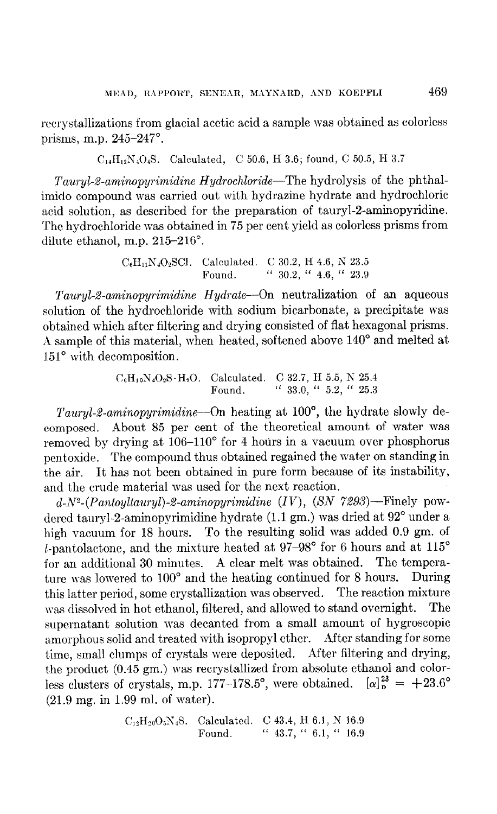recrystallizations from glacial acetic acid a sample was obtained as colorless prisms, m.p. 245-247".

 $C_{14}H_{12}N_4O_4S.$  Calculated, C 50.6, H 3.6; found, C 50.5, H 3.7

Tauryl-2-aminopyrimidine Hydrochloride—The hydrolysis of the phthalimido compound was carried out with hydrazine hydrate and hydrochloric acid solution, as described for the preparation of tauryl-2-aminopyridine. The hydrochloride was obtained in 75 per cent yield as colorless prisms from dilute ethanol, m.p.  $215-216^\circ$ .

> $C_6H_{11}N_4O_2SC1.$  Calculated. C 30.2, H 4.6, N 23.5 Found. "  $30.2$ , "  $4.6$ , "  $23.9$

Tauryl-2-aminopyrimidine Hydrate---On neutralization of an aqueous solution of the hydrochloride with sodium bicarbonate, a precipitate was obtained which after filtering and drying consisted of flat hexagonal prisms. A sample of this material, when heated, softened above  $140^{\circ}$  and melted at 151° with decomposition.

> $C_6H_{10}N_4O_2S \cdot H_2O$ . Calculated. C 32.7, H 5.5, N 25.4 Found. "  $33.0,$  "  $5.2,$  "  $25.3$

Tauryl-2-aminopyrimidine---On heating at  $100^{\circ}$ , the hydrate slowly decomposed. About 85 per cent of the theoretical amount of mater was removed by drying at 106-110" for 4 hours in a vacuum over phosphorus pentoxide. The compound thus obtained regained the water on standing in the air. It has not been obtained in pure form because of its instability, and the crude material was used for the next reaction.

 $d-N^2$ -(Pantoyltauryl)-2-aminopyrimidine (IV), (SN 7293)--Finely powdered tauryl-2-aminopyrimidine hydrate  $(1.1 \text{ gm.})$  was dried at  $92^{\circ}$  under a high vacuum for 18 hours. To the resulting solid was added 0.9 gm. of *l*-pantolactone, and the mixture heated at  $97-98^{\circ}$  for 6 hours and at  $115^{\circ}$ for an additional 30 minutes. A clear melt was obtained. The temperature was lowered to 100° and the heating continued for 8 hours. During this latter period, some crystallization was observed. The reaction mixture was dissolved in hot ethanol, filtered, and allowed to stand overnight. The supernatant solution was decanted from a small amount of hygroscopic amorphous solid and treated with isopropyl ether. After standing for some time, small clumps of crystals were deposited. After filtering and drying, the product (0.45 gm.) was recrystallized from absolute ethanol and colorless clusters of crystals, m.p. 177-178.5°, were obtained.  $[\alpha]_n^{23} = +23.6^\circ$ (21.9 mg. in 1.99 ml. of water).

> $C_{12}H_{20}O_5N_4S.$  Calculated. C 43.4, H 6.1, N 16.9 Found. " 43.7, " 6.1, " 16.9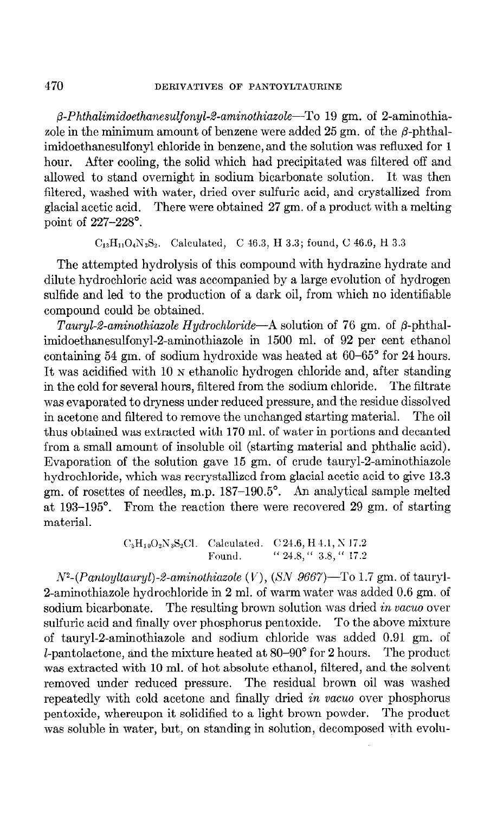$\beta$ -Phthalimidoethanesulfonyl-2-aminothiazole-To 19 gm. of 2-aminothiazole in the minimum amount of benzene were added  $25 \text{ gm}$ , of the  $\beta$ -phthalimidoethanesulfonyl chloride in benzene, and the solution was refluxed for 1 hour. After cooling, the solid which had precipitated was filtered off and allowed to stand overnight in sodium bicarbonate solution. It was then filtered, washed with water, dried over sulfuric acid, and crystallized from glacial acetic acid. There were obtained 27 gm. of a product with a melting point of 227-228".

 $C_{13}H_{11}O_4N_3S_2$ . Calculated, C 46.3, H 3.3; found, C 46.6, H 3.3

The attempted hydrolysis of this compound with hydrazine hydrate and dilute hydrochloric acid was accompanied by a large evolution of hydrogen sulfide and led to the production of a dark oil, from which no identifiable compound could be obtained.

Tauryl-2-aminothiazole Hydrochloride-A solution of 76 gm. of  $\beta$ -phthalimidoethanesulfonyl-2-aminothiazole in 1500 ml. of 92 per cent ethanol containing 54 gm. of sodium hydroxide was heated at 60-65" for 24 hours. It was acidified with 10 N ethanolic hydrogen chloride and, after standing in the cold for several hours, filtered from the sodium chloride. The filtrate was evaporated to dryness under reduced pressure, and the residue dissolved in acetone and filtered to remove the unchanged starting material. The oil thus obtained was extracted with 170 ml. of water in portions and decanted from a small amount of insoluble oil (starting material and phthalic acid). Evaporation of the solution gave 15 gm. of crude tauryl-2-aminothiazole hydrochloride, which was recrystallized from glacial acetic acid to give 13.3 gm. of rosettes of needles, m.p. 187-190.5". An analytical sample melted at 193-195". From the reaction there were recovered 29 gm. of starting material.

> $C_5H_{10}O_2N_3S_2Cl.$  Calculated. C 24.6, H 4.1, N 17.2 Found. "  $24.8$ , "  $3.8$ , "  $17.2$

 $N^2$ -(Pantoyltauryl)-2-aminothiazole (V), (SN 9667)-To 1.7 gm. of tauryl-2-aminothiazole hydrochloride in 2 ml. of warm water was added 0.6 gm. of sodium bicarbonate. The resulting brown solution was dried in vacuo over sulfuric acid and finally over phosphorus pentoxide. To the above mixture of tauryl-2-aminothiazole and sodium chloride was added 0.91 gm. of  $l$ -pantolactone, and the mixture heated at  $80-90^{\circ}$  for 2 hours. The product was extracted with 10 ml. of hot absolute ethanol, filtered, and the solvent removed under reduced pressure. The residual brown oil was washed repeatedly with cold acetone and finally dried in vacua over phosphorus pentoxide, whereupon it solidified to a light brown powder. The product was soluble in mater, but, on standing in solution, decomposed with evolu-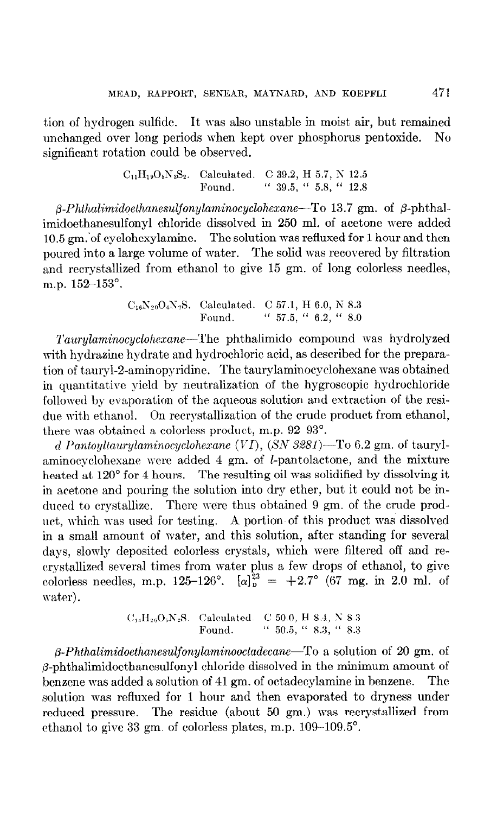tion of hydrogen sulfide. It was also unstable in moist air, but remained unchanged over long periods when kept over phosphorus pentoxide. No significant rotation could be observed.

> $C_{11}H_{19}O_5N_3S_2$ . Calculated. C 39.2, H 5.7, N 12.5 Found. " 39.5, " 5.8, " 12.8

 $\beta$ -Phthalimidoethanesulfonylaminocyclohexane-To 13.7 gm. of  $\beta$ -phthalimidoethanesulfonyl chloride dissolved in 250 ml. of acetone were added 10.5 gm.'of cyclohexylamine. The solution was refluxed for 1 hour and then poured into a large volume of water. The solid was recovered by filtration and recrystallized from ethanol to give 15 gm. of long colorless needles, m.p. 152-153".

> $C_{16}N_{20}O_4N_2S.$  Calculated. C 57.1, H 6.0, N 8.3 Found. "  $57.5,$  "  $6.2,$  "  $8.0$

Taurylaminocyclohexane—The phthalimido compound was hydrolyzed with hydrazine hydrate and hydrochloric acid, as described for the preparation of tauryl-2-aminopyridine. The taurylaminocyclohexane was obtained in quantitative yield by neutralization of the hygroscopic hydrochloride followed by evaporation of the aqueous solution and extraction of the residue with ethanol. On recrystallization of the crude product from ethanol, there was obtained a colorless product, m.p.  $92-93^{\circ}$ .

d Pantoyltaurylaminocyclohexane (VI),  $(N 3281)$ -To 6.2 gm. of taurylaminocyclohexane were added  $4 \text{ gm}$ . of *l*-pantolactone, and the mixture heated at 120<sup>°</sup> for 4 hours. The resulting oil was solidified by dissolving it in acetone and pouring the solution into dry ether, but it could not be induced to crystallize. There were thus obtained 9 gm. of the crude product, which was used for testing. A portion of this product was dissolved in a small amount of mater, and this solution, after standing for several days, slowly deposited colorless crystals, which were filtered off and recrystallized several times from water plus a few drops of ethanol, to give colorless needles, m.p. 125-126°.  $[\alpha]_p^{23} = +2.7^\circ$  (67 mg. in 2.0 ml. of water).

$$
C_{14}H_{26}O_6N_2S
$$
. Calculated. C 50.0, H 8.4, N 8.3  
Found. " 50.5, " 8.3, " 8.3

 $\beta$ -Phthalimidoethanesulfonylaminooctadecane—To a solution of 20 gm. of  $\beta$ -phthalimidoethanesulfonyl chloride dissolved in the minimum amount of benzene was added a solution of 41 gm. of octadecylamine in benzene. The solution was refluxed for 1 hour and then evaporated to dryness under reduced pressure. The residue (about 50 gm.) was recrystallized from ethanol to give 33 gm. of colorless plates, m.p.  $109-109.5^{\circ}$ .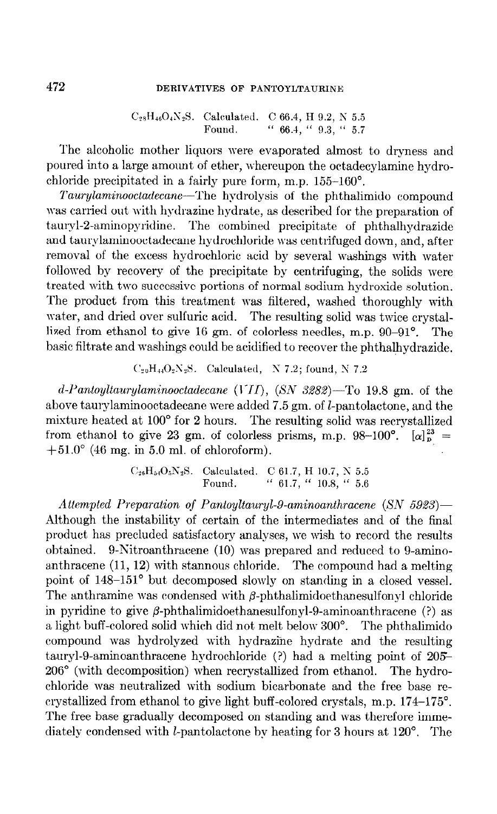# 472 DERIVATIVES OF PANTOYLTAURINE

 $C_{28}H_{46}O_4N_2S$ . Calculated. C 66.4, H 9.2, N 5.5 Found. " 66.4, " 9.3, " 5.7

The alcoholic mother liquors were evaporated almost to dryness and poured into a large amount of ether, whereupon the octadecylamine hydrochloride precipitated in a fairly pure form, m.p. 155-160".

Taurylaminooctadecane—The hydrolysis of the phthalimido compound was carried out with hydrazinc hydrate, as described for the preparation of taurpl-2-aminopyridine. The combined precipitate of phthalhydrazide and taurylaminooctadecane hydrochloride was centrifuged down, and, after removal of the excess hydrochloric acid by several washings with water followed by recovery of the precipitate by centrifuging, the solids were treated with two successive portions of normal sodium hydroxide solution. The product from this treatment was filtered, washed thoroughly with water, and dried over sulfuric acid. The resulting solid was twice crystallized from ethanol to give 16 gm. of colorless needles, m.p. 90-91". The basic filtrate and washings could be acidified to recover the phthalhydrazide.

 $C_{20}H_{44}O_2N_2S$ . Calculated, N 7.2; found, N 7.2

 $d$ -Pantoyltaurylaminooctadecane (VII), (SN 3282)-To 19.8 gm. of the above taurylaminooctadecane were added 7.5 gm. of I-pantolactone, and the mixture heated at 100' for 2 hours. The resulting solid was recrystallized from ethanol to give 23 gm. of colorless prisms, m.p. 98-100°.  $[\alpha]_p^{23}$  =  $+51.0^{\circ}$  (46 mg. in 5.0 ml. of chloroform).

> $C_{26}H_{54}O_5N_2S.$  Calculated. C 61.7, H 10.7, N 5.5 Found. "  $61.7,$  "  $10.8,$  "  $5.6$

Attempted Preparation of Pantoyltauryl-9-aminoanthracene  $(SN 5923)$ -Although the instability of certain of the intermediates and of the final product has precluded satisfactory analyses, we wish to record the results obtained. 9-Nitroanthracene (10) was prepared and reduced to 9-aminoanthracene  $(11, 12)$  with stannous chloride. The compound had a melting point of 148-151" but decomposed slowly on standing in a closed vessel. The anthramine was condensed with  $\beta$ -phthalimidoethanesulfonyl chloride in pyridine to give  $\beta$ -phthalimidoethanesulfonyl-9-aminoanthracene (?) as a light buff-colored solid which did not melt below 300". The phthalimido compound was hydrolyzed with hydraziine hydrate and the resulting tauryl-9-aminoanthracene hydrochloride (?) had a melting point of 205-206" (with decomposition) when recrystallized from ethanol. The hydrochloride was neutralized with sodium bicarbonate and the free base recrystallized from ethanol to give light buff-colored crystals, m.p. 174-175". The free base gradually decomposed on standing and was therefore immediately condensed with *l*-pantolactone by heating for 3 hours at  $120^{\circ}$ . The